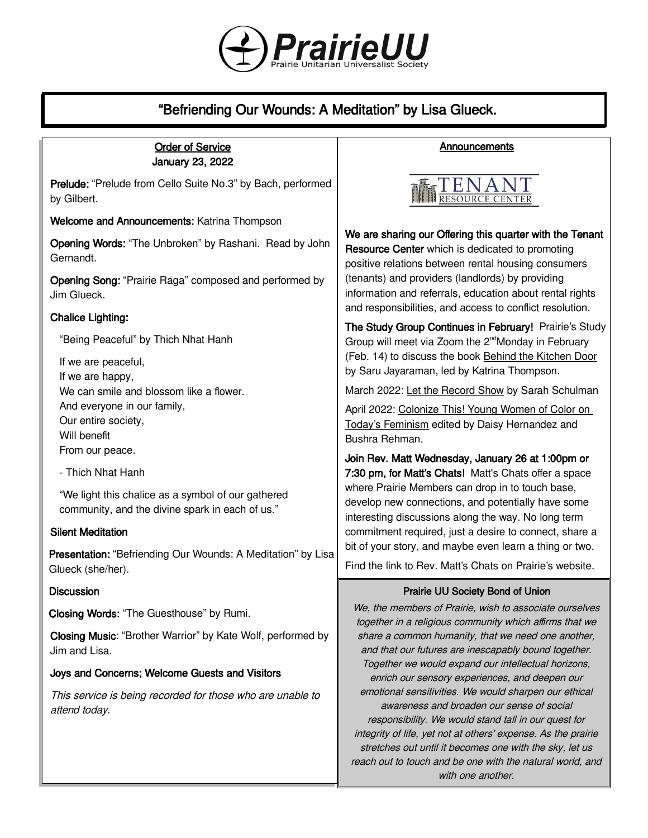

# "Befriending Our Wounds: A Meditation" by Lisa Glueck.

## Order of Service January 23, 2022

Prelude: "Prelude from Cello Suite No.3" by Bach, performed by Gilbert.

Welcome and Announcements: Katrina Thompson

Opening Words: "The Unbroken" by Rashani. Read by John Gernandt.

Opening Song: "Prairie Raga" composed and performed by Jim Glueck.

# Chalice Lighting:

"Being Peaceful" by Thich Nhat Hanh

If we are peaceful, If we are happy, We can smile and blossom like a flower. And everyone in our family, Our entire society, Will benefit From our peace.

- Thich Nhat Hanh

"We light this chalice as a symbol of our gathered community, and the divine spark in each of us."

# Silent Meditation

Presentation: "Befriending Our Wounds: A Meditation" by Lisa Glueck (she/her).

# **Discussion**

Closing Words: "The Guesthouse" by Rumi.

Closing Music: "Brother Warrior" by Kate Wolf, performed by Jim and Lisa.

# Joys and Concerns; Welcome Guests and Visitors

This service is being recorded for those who are unable to attend today.

# Announcements



We are sharing our Offering this quarter with the Tenant Resource Center which is dedicated to promoting positive relations between rental housing consumers (tenants) and providers (landlords) by providing information and referrals, education about rental rights and responsibilities, and access to conflict resolution.

The Study Group Continues in February! Prairie's Study Group will meet via Zoom the 2<sup>nd</sup>Monday in February (Feb. 14) to discuss the book Behind the Kitchen Door by Saru Jayaraman, led by Katrina Thompson.

March 2022: Let the Record Show by Sarah Schulman

April 2022: Colonize This! Young Women of Color on Today's Feminism edited by Daisy Hernandez and Bushra Rehman.

Join Rev. Matt Wednesday, January 26 at 1:00pm or 7:30 pm, for Matt's Chats! Matt's Chats offer a space where Prairie Members can drop in to touch base, develop new connections, and potentially have some interesting discussions along the way. No long term commitment required, just a desire to connect, share a bit of your story, and maybe even learn a thing or two.

Find the link to Rev. Matt's Chats [on Prairie's website](https://uuprairie.org/).

# Prairie UU Society Bond of Union

We, the members of Prairie, wish to associate ourselves together in a religious community which affirms that we share a common humanity, that we need one another, and that our futures are inescapably bound together. Together we would expand our intellectual horizons, enrich our sensory experiences, and deepen our emotional sensitivities. We would sharpen our ethical awareness and broaden our sense of social responsibility. We would stand tall in our quest for integrity of life, yet not at others' expense. As the prairie stretches out until it becomes one with the sky, let us reach out to touch and be one with the natural world, and with one another.